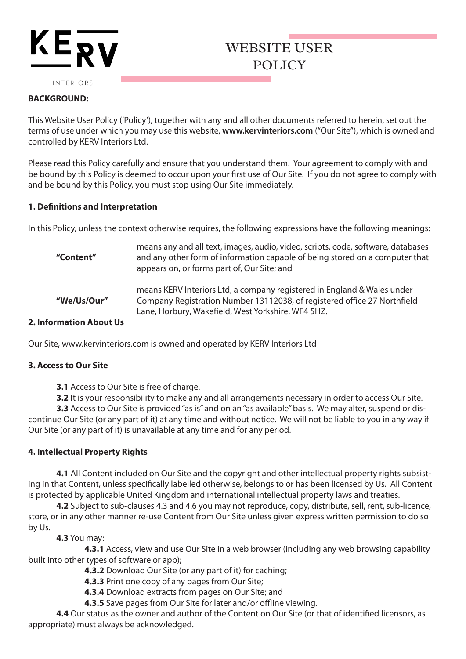# KE<sub>RV</sub>

## WEBSITE USER POLICY

INTERIORS

#### **BACKGROUND:**

This Website User Policy ('Policy'), together with any and all other documents referred to herein, set out the terms of use under which you may use this website, **www.kervinteriors.com** ("Our Site"), which is owned and controlled by KERV Interiors Ltd.

Please read this Policy carefully and ensure that you understand them. Your agreement to comply with and be bound by this Policy is deemed to occur upon your first use of Our Site. If you do not agree to comply with and be bound by this Policy, you must stop using Our Site immediately.

#### **1. Definitions and Interpretation**

In this Policy, unless the context otherwise requires, the following expressions have the following meanings:

| "Content"        | means any and all text, images, audio, video, scripts, code, software, databases<br>and any other form of information capable of being stored on a computer that<br>appears on, or forms part of, Our Site; and |
|------------------|-----------------------------------------------------------------------------------------------------------------------------------------------------------------------------------------------------------------|
| "We/Us/Our"      | means KERV Interiors Ltd, a company registered in England & Wales under<br>Company Registration Number 13112038, of registered office 27 Northfield<br>Lane, Horbury, Wakefield, West Yorkshire, WF4 5HZ.       |
| matian Ahaut IIc |                                                                                                                                                                                                                 |

#### **2. Information About Us**

Our Site, www.kervinteriors.com is owned and operated by KERV Interiors Ltd

#### **3. Access to Our Site**

**3.1** Access to Our Site is free of charge.

**3.2** It is your responsibility to make any and all arrangements necessary in order to access Our Site.

**3.3** Access to Our Site is provided "as is" and on an "as available" basis. We may alter, suspend or discontinue Our Site (or any part of it) at any time and without notice. We will not be liable to you in any way if Our Site (or any part of it) is unavailable at any time and for any period.

#### **4. Intellectual Property Rights**

**4.1** All Content included on Our Site and the copyright and other intellectual property rights subsisting in that Content, unless specifically labelled otherwise, belongs to or has been licensed by Us. All Content is protected by applicable United Kingdom and international intellectual property laws and treaties.

**4.2** Subject to sub-clauses 4.3 and 4.6 you may not reproduce, copy, distribute, sell, rent, sub-licence, store, or in any other manner re-use Content from Our Site unless given express written permission to do so by Us.

**4.3** You may:

**4.3.1** Access, view and use Our Site in a web browser (including any web browsing capability built into other types of software or app);

**4.3.2** Download Our Site (or any part of it) for caching;

**4.3.3** Print one copy of any pages from Our Site;

**4.3.4** Download extracts from pages on Our Site; and

**4.3.5** Save pages from Our Site for later and/or offline viewing.

**4.4** Our status as the owner and author of the Content on Our Site (or that of identified licensors, as appropriate) must always be acknowledged.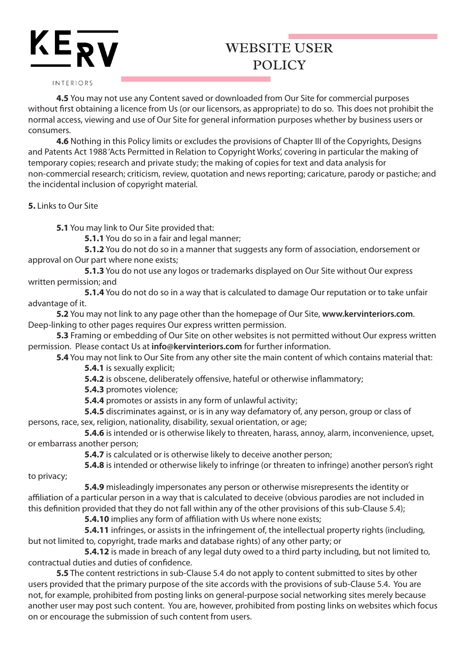# $KE_{\overline{RV}}$

## WEBSITE USER POLICY

#### INTERIORS

**4.5** You may not use any Content saved or downloaded from Our Site for commercial purposes without first obtaining a licence from Us (or our licensors, as appropriate) to do so. This does not prohibit the normal access, viewing and use of Our Site for general information purposes whether by business users or consumers.

**4.6** Nothing in this Policy limits or excludes the provisions of Chapter III of the Copyrights, Designs and Patents Act 1988 'Acts Permitted in Relation to Copyright Works', covering in particular the making of temporary copies; research and private study; the making of copies for text and data analysis for non-commercial research; criticism, review, quotation and news reporting; caricature, parody or pastiche; and the incidental inclusion of copyright material.

**5.** Links to Our Site

**5.1** You may link to Our Site provided that:

**5.1.1** You do so in a fair and legal manner;

**5.1.2** You do not do so in a manner that suggests any form of association, endorsement or approval on Our part where none exists;

 **5.1.3** You do not use any logos or trademarks displayed on Our Site without Our express written permission; and

**5.1.4** You do not do so in a way that is calculated to damage Our reputation or to take unfair advantage of it.

**5.2** You may not link to any page other than the homepage of Our Site, **www.kervinteriors.com**. Deep-linking to other pages requires Our express written permission.

**5.3** Framing or embedding of Our Site on other websites is not permitted without Our express written permission. Please contact Us at **info@kervinteriors.com** for further information.

**5.4** You may not link to Our Site from any other site the main content of which contains material that: **5.4.1** is sexually explicit;

**5.4.2** is obscene, deliberately offensive, hateful or otherwise inflammatory;

**5.4.3** promotes violence;

**5.4.4** promotes or assists in any form of unlawful activity;

 **5.4.5** discriminates against, or is in any way defamatory of, any person, group or class of persons, race, sex, religion, nationality, disability, sexual orientation, or age;

 **5.4.6** is intended or is otherwise likely to threaten, harass, annoy, alarm, inconvenience, upset, or embarrass another person;

**5.4.7** is calculated or is otherwise likely to deceive another person;

 **5.4.8** is intended or otherwise likely to infringe (or threaten to infringe) another person's right to privacy;

 **5.4.9** misleadingly impersonates any person or otherwise misrepresents the identity or affiliation of a particular person in a way that is calculated to deceive (obvious parodies are not included in this definition provided that they do not fall within any of the other provisions of this sub-Clause 5.4);

**5.4.10** implies any form of affiliation with Us where none exists;

 **5.4.11** infringes, or assists in the infringement of, the intellectual property rights (including, but not limited to, copyright, trade marks and database rights) of any other party; or

 **5.4.12** is made in breach of any legal duty owed to a third party including, but not limited to, contractual duties and duties of confidence.

**5.5** The content restrictions in sub-Clause 5.4 do not apply to content submitted to sites by other users provided that the primary purpose of the site accords with the provisions of sub-Clause 5.4. You are not, for example, prohibited from posting links on general-purpose social networking sites merely because another user may post such content. You are, however, prohibited from posting links on websites which focus on or encourage the submission of such content from users.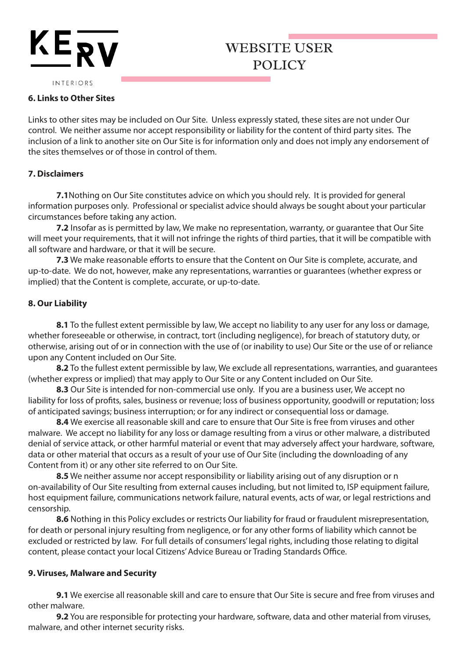# $KE_{\bf RV}$

### WEBSITE USER POLICY

INTERIORS

#### **6. Links to Other Sites**

Links to other sites may be included on Our Site. Unless expressly stated, these sites are not under Our control. We neither assume nor accept responsibility or liability for the content of third party sites. The inclusion of a link to another site on Our Site is for information only and does not imply any endorsement of the sites themselves or of those in control of them.

#### **7. Disclaimers**

**7.1**Nothing on Our Site constitutes advice on which you should rely. It is provided for general information purposes only. Professional or specialist advice should always be sought about your particular circumstances before taking any action.

**7.2** Insofar as is permitted by law, We make no representation, warranty, or guarantee that Our Site will meet your requirements, that it will not infringe the rights of third parties, that it will be compatible with all software and hardware, or that it will be secure.

**7.3** We make reasonable efforts to ensure that the Content on Our Site is complete, accurate, and up-to-date. We do not, however, make any representations, warranties or guarantees (whether express or implied) that the Content is complete, accurate, or up-to-date.

#### **8. Our Liability**

**8.1** To the fullest extent permissible by law, We accept no liability to any user for any loss or damage, whether foreseeable or otherwise, in contract, tort (including negligence), for breach of statutory duty, or otherwise, arising out of or in connection with the use of (or inability to use) Our Site or the use of or reliance upon any Content included on Our Site.

**8.2** To the fullest extent permissible by law, We exclude all representations, warranties, and guarantees (whether express or implied) that may apply to Our Site or any Content included on Our Site.

**8.3** Our Site is intended for non-commercial use only. If you are a business user, We accept no liability for loss of profits, sales, business or revenue; loss of business opportunity, goodwill or reputation; loss of anticipated savings; business interruption; or for any indirect or consequential loss or damage.

**8.4** We exercise all reasonable skill and care to ensure that Our Site is free from viruses and other malware. We accept no liability for any loss or damage resulting from a virus or other malware, a distributed denial of service attack, or other harmful material or event that may adversely affect your hardware, software, data or other material that occurs as a result of your use of Our Site (including the downloading of any Content from it) or any other site referred to on Our Site.

**8.5** We neither assume nor accept responsibility or liability arising out of any disruption or n on-availability of Our Site resulting from external causes including, but not limited to, ISP equipment failure, host equipment failure, communications network failure, natural events, acts of war, or legal restrictions and censorship.

**8.6** Nothing in this Policy excludes or restricts Our liability for fraud or fraudulent misrepresentation, for death or personal injury resulting from negligence, or for any other forms of liability which cannot be excluded or restricted by law. For full details of consumers' legal rights, including those relating to digital content, please contact your local Citizens' Advice Bureau or Trading Standards Office.

#### **9. Viruses, Malware and Security**

**9.1** We exercise all reasonable skill and care to ensure that Our Site is secure and free from viruses and other malware.

**9.2** You are responsible for protecting your hardware, software, data and other material from viruses, malware, and other internet security risks.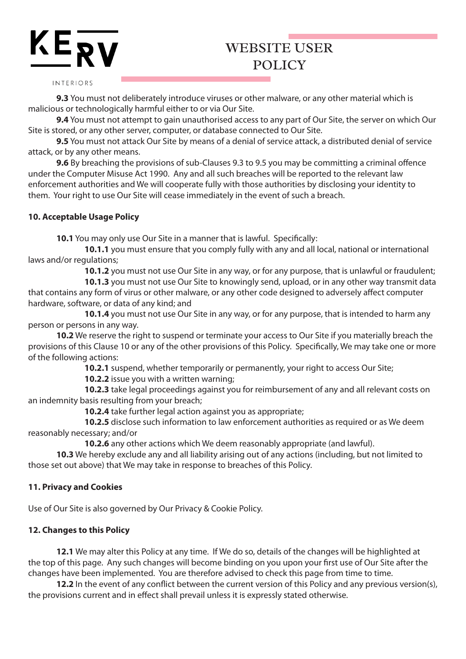## $KE_{\overline{RV}}$

## WEBSITE USER POLICY

#### INTERIORS

**9.3** You must not deliberately introduce viruses or other malware, or any other material which is malicious or technologically harmful either to or via Our Site.

**9.4** You must not attempt to gain unauthorised access to any part of Our Site, the server on which Our Site is stored, or any other server, computer, or database connected to Our Site.

**9.5** You must not attack Our Site by means of a denial of service attack, a distributed denial of service attack, or by any other means.

**9.6** By breaching the provisions of sub-Clauses 9.3 to 9.5 you may be committing a criminal offence under the Computer Misuse Act 1990. Any and all such breaches will be reported to the relevant law enforcement authorities and We will cooperate fully with those authorities by disclosing your identity to them. Your right to use Our Site will cease immediately in the event of such a breach.

#### **10. Acceptable Usage Policy**

**10.1** You may only use Our Site in a manner that is lawful. Specifically:

 **10.1.1** you must ensure that you comply fully with any and all local, national or international laws and/or regulations;

**10.1.2** you must not use Our Site in any way, or for any purpose, that is unlawful or fraudulent;

 **10.1.3** you must not use Our Site to knowingly send, upload, or in any other way transmit data that contains any form of virus or other malware, or any other code designed to adversely affect computer hardware, software, or data of any kind; and

 **10.1.4** you must not use Our Site in any way, or for any purpose, that is intended to harm any person or persons in any way.

**10.2** We reserve the right to suspend or terminate your access to Our Site if you materially breach the provisions of this Clause 10 or any of the other provisions of this Policy. Specifically, We may take one or more of the following actions:

**10.2.1** suspend, whether temporarily or permanently, your right to access Our Site;

**10.2.2** issue you with a written warning;

 **10.2.3** take legal proceedings against you for reimbursement of any and all relevant costs on an indemnity basis resulting from your breach;

**10.2.4** take further legal action against you as appropriate;

 **10.2.5** disclose such information to law enforcement authorities as required or as We deem reasonably necessary; and/or

**10.2.6** any other actions which We deem reasonably appropriate (and lawful).

**10.3** We hereby exclude any and all liability arising out of any actions (including, but not limited to those set out above) that We may take in response to breaches of this Policy.

#### **11. Privacy and Cookies**

Use of Our Site is also governed by Our Privacy & Cookie Policy.

#### **12. Changes to this Policy**

**12.1** We may alter this Policy at any time. If We do so, details of the changes will be highlighted at the top of this page. Any such changes will become binding on you upon your first use of Our Site after the changes have been implemented. You are therefore advised to check this page from time to time.

**12.2** In the event of any conflict between the current version of this Policy and any previous version(s), the provisions current and in effect shall prevail unless it is expressly stated otherwise.